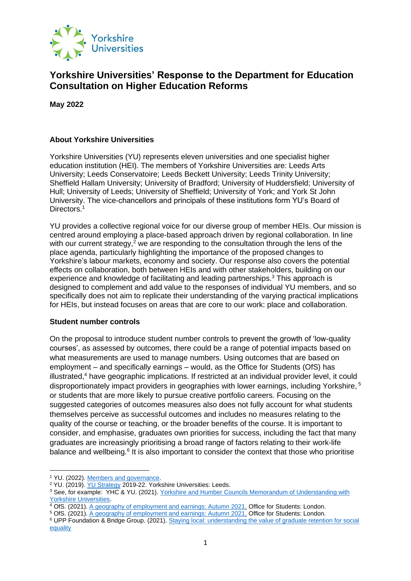

# **Yorkshire Universities' Response to the Department for Education Consultation on Higher Education Reforms**

**May 2022** 

# **About Yorkshire Universities**

Yorkshire Universities (YU) represents eleven universities and one specialist higher education institution (HEI). The members of Yorkshire Universities are: Leeds Arts University; Leeds Conservatoire; Leeds Beckett University; Leeds Trinity University; Sheffield Hallam University; University of Bradford; University of Huddersfield; University of Hull; University of Leeds; University of Sheffield; University of York; and York St John University. The vice-chancellors and principals of these institutions form YU's Board of Directors.<sup>1</sup>

YU provides a collective regional voice for our diverse group of member HEIs. Our mission is centred around employing a place-based approach driven by regional collaboration. In line with our current strategy,<sup>2</sup> we are responding to the consultation through the lens of the place agenda, particularly highlighting the importance of the proposed changes to Yorkshire's labour markets, economy and society. Our response also covers the potential effects on collaboration, both between HEIs and with other stakeholders, building on our experience and knowledge of facilitating and leading partnerships.<sup>3</sup> This approach is designed to complement and add value to the responses of individual YU members, and so specifically does not aim to replicate their understanding of the varying practical implications for HEIs, but instead focuses on areas that are core to our work: place and collaboration.

# **Student number controls**

On the proposal to introduce student number controls to prevent the growth of 'low-quality courses', as assessed by outcomes, there could be a range of potential impacts based on what measurements are used to manage numbers. Using outcomes that are based on employment – and specifically earnings – would, as the Office for Students (OfS) has  $i$ llustrated, $4$  have geographic implications. If restricted at an individual provider level, it could disproportionately impact providers in geographies with lower earnings, including Yorkshire, <sup>5</sup> or students that are more likely to pursue creative portfolio careers. Focusing on the suggested categories of outcomes measures also does not fully account for what students themselves perceive as successful outcomes and includes no measures relating to the quality of the course or teaching, or the broader benefits of the course. It is important to consider, and emphasise, graduates own priorities for success, including the fact that many graduates are increasingly prioritising a broad range of factors relating to their work-life balance and wellbeing.<sup>6</sup> It is also important to consider the context that those who prioritise

<sup>1</sup> YU. (2022). [Members and governance.](https://yorkshireuniversities.ac.uk/our-members/)

<sup>&</sup>lt;sup>2</sup> YU. (2019). [YU Strategy](https://yorkshireuniversities.ac.uk/wp-content/uploads/sites/15/2020/01/YU-2019-22-Strategy_FINAL.pdf) 2019-22. Yorkshire Universities: Leeds.

<sup>3</sup> See, for example: YHC & YU. (2021). [Yorkshire and Humber Councils Memorandum of Understanding with](https://yorkshireuniversities.ac.uk/wp-content/uploads/sites/15/2021/07/YH-Councils-and-YU-MOU-July-2021.pdf)  [Yorkshire Universities.](https://yorkshireuniversities.ac.uk/wp-content/uploads/sites/15/2021/07/YH-Councils-and-YU-MOU-July-2021.pdf)

<sup>4</sup> OfS. (2021). [A geography of employment and earnings: Autumn 2021.](https://www.officeforstudents.org.uk/media/45bc055c-a06b-4ea6-a344-0b050cacca3a/geography-of-employment-and-earnings-autumn-2021-update.pdf) Office for Students: London.

<sup>5</sup> OfS. (2021). [A geography of employment and earnings: Autumn 2021.](https://www.officeforstudents.org.uk/media/45bc055c-a06b-4ea6-a344-0b050cacca3a/geography-of-employment-and-earnings-autumn-2021-update.pdf) Office for Students: London.

<sup>6</sup> UPP Foundation & Bridge Group. (2021). [Staying local: understanding the value of graduate retention for social](https://upp-foundation.org/wp-content/uploads/2021/09/Staying-local-graduate-retention-in-regions-embargoed.pdf)  [equality](https://upp-foundation.org/wp-content/uploads/2021/09/Staying-local-graduate-retention-in-regions-embargoed.pdf)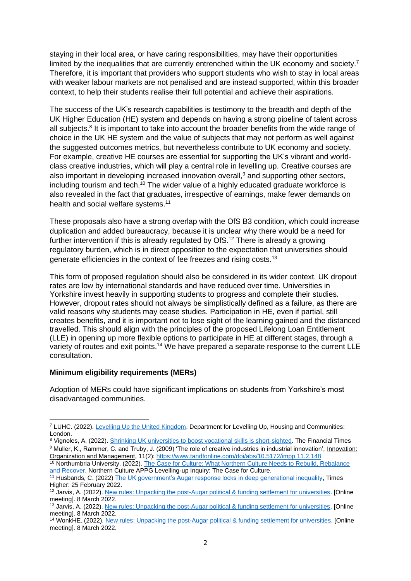staying in their local area, or have caring responsibilities, may have their opportunities limited by the inequalities that are currently entrenched within the UK economy and society.<sup>7</sup> Therefore, it is important that providers who support students who wish to stay in local areas with weaker labour markets are not penalised and are instead supported, within this broader context, to help their students realise their full potential and achieve their aspirations.

The success of the UK's research capabilities is testimony to the breadth and depth of the UK Higher Education (HE) system and depends on having a strong pipeline of talent across all subjects.<sup>8</sup> It is important to take into account the broader benefits from the wide range of choice in the UK HE system and the value of subjects that may not perform as well against the suggested outcomes metrics, but nevertheless contribute to UK economy and society. For example, creative HE courses are essential for supporting the UK's vibrant and worldclass creative industries, which will play a central role in levelling up. Creative courses are also important in developing increased innovation overall,<sup>9</sup> and supporting other sectors, including tourism and tech.<sup>10</sup> The wider value of a highly educated graduate workforce is also revealed in the fact that graduates, irrespective of earnings, make fewer demands on health and social welfare systems.<sup>11</sup>

These proposals also have a strong overlap with the OfS B3 condition, which could increase duplication and added bureaucracy, because it is unclear why there would be a need for further intervention if this is already regulated by OfS.<sup>12</sup> There is already a growing regulatory burden, which is in direct opposition to the expectation that universities should generate efficiencies in the context of fee freezes and rising costs.<sup>13</sup>

This form of proposed regulation should also be considered in its wider context. UK dropout rates are low by international standards and have reduced over time. Universities in Yorkshire invest heavily in supporting students to progress and complete their studies. However, dropout rates should not always be simplistically defined as a failure, as there are valid reasons why students may cease studies. Participation in HE, even if partial, still creates benefits, and it is important not to lose sight of the learning gained and the distanced travelled. This should align with the principles of the proposed Lifelong Loan Entitlement (LLE) in opening up more flexible options to participate in HE at different stages, through a variety of routes and exit points.<sup>14</sup> We have prepared a separate response to the current LLE consultation.

#### **Minimum eligibility requirements (MERs)**

Adoption of MERs could have significant implications on students from Yorkshire's most disadvantaged communities.

<sup>7</sup> LUHC. (2022). [Levelling Up the United Kingdom,](https://assets.publishing.service.gov.uk/government/uploads/system/uploads/attachment_data/file/1052064/Levelling_Up_White_Paper_HR.pdf) Department for Levelling Up, Housing and Communities: London.

<sup>8</sup> Vignoles, A. (2022). [Shrinking UK universities to boost vocational skills is short-sighted.](https://www.ft.com/content/8e64e356-0dcc-4e3e-a67b-f6bdfc35488f) The Financial Times <sup>9</sup> Muller, K., Rammer, C. and Truby, J. (2009) 'The role of creative industries in industrial innovation', Innovation: Organization and Management, 11(2)[: https://www.tandfonline.com/doi/abs/10.5172/impp.11.2.148](https://www.tandfonline.com/doi/abs/10.5172/impp.11.2.148)

<sup>&</sup>lt;sup>10</sup> Northumbria University. (2022). The Case for Culture: What Northern Culture Needs to Rebuild, Rebalance [and Recover.](https://northernculture.org.uk/wp-content/uploads/2022/01/NCAPPG-The-Case-for-Culture-Report.pdf) Northern Culture APPG Levelling-up Inquiry: The Case for Culture.

<sup>&</sup>lt;sup>11</sup> Husbands, C. (2022[\) The UK government's Augar response locks in deep generational inequality,](https://www.timeshighereducation.com/blog/uk-governments-augar-response-locks-deep-generational-inequality?s=09) Times Higher: 25 February 2022.

<sup>&</sup>lt;sup>12</sup> Jarvis, A. (2022)[. New rules: Unpacking the post-Augar political & funding settlement for universities.](https://wonkhe.com/events/new-rules/) [Online meeting]. 8 March 2022.

<sup>13</sup> Jarvis, A. (2022)[. New rules: Unpacking the post-Augar political & funding settlement for universities.](https://wonkhe.com/events/new-rules/) [Online meeting]. 8 March 2022.

<sup>14</sup> WonkHE. (2022)[. New rules: Unpacking the post-Augar political & funding settlement for universities.](https://wonkhe.com/events/new-rules/) [Online meeting]. 8 March 2022.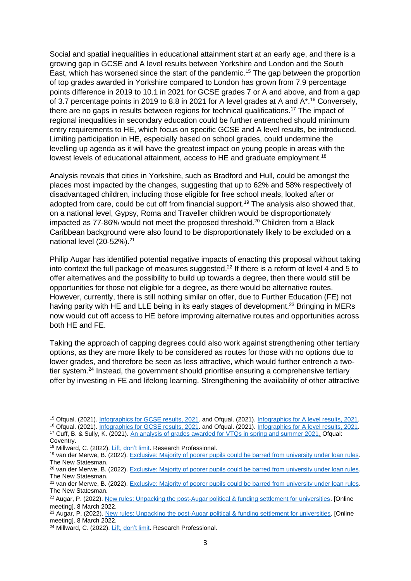Social and spatial inequalities in educational attainment start at an early age, and there is a growing gap in GCSE and A level results between Yorkshire and London and the South East, which has worsened since the start of the pandemic.<sup>15</sup> The gap between the proportion of top grades awarded in Yorkshire compared to London has grown from 7.9 percentage points difference in 2019 to 10.1 in 2021 for GCSE grades 7 or A and above, and from a gap of 3.7 percentage points in 2019 to 8.8 in 2021 for A level grades at A and A\*.<sup>16</sup> Conversely, there are no gaps in results between regions for technical qualifications.<sup>17</sup> The impact of regional inequalities in secondary education could be further entrenched should minimum entry requirements to HE, which focus on specific GCSE and A level results, be introduced. Limiting participation in HE, especially based on school grades, could undermine the levelling up agenda as it will have the greatest impact on young people in areas with the lowest levels of educational attainment, access to HE and graduate employment.<sup>18</sup>

Analysis reveals that cities in Yorkshire, such as Bradford and Hull, could be amongst the places most impacted by the changes, suggesting that up to 62% and 58% respectively of disadvantaged children, including those eligible for free school meals, looked after or adopted from care, could be cut off from financial support.<sup>19</sup> The analysis also showed that, on a national level, Gypsy, Roma and Traveller children would be disproportionately impacted as 77-86% would not meet the proposed threshold.<sup>20</sup> Children from a Black Caribbean background were also found to be disproportionately likely to be excluded on a national level (20-52%).<sup>21</sup>

Philip Augar has identified potential negative impacts of enacting this proposal without taking into context the full package of measures suggested.<sup>22</sup> If there is a reform of level 4 and 5 to offer alternatives and the possibility to build up towards a degree, then there would still be opportunities for those not eligible for a degree, as there would be alternative routes. However, currently, there is still nothing similar on offer, due to Further Education (FE) not having parity with HE and LLE being in its early stages of development.<sup>23</sup> Bringing in MERs now would cut off access to HE before improving alternative routes and opportunities across both HE and FE.

Taking the approach of capping degrees could also work against strengthening other tertiary options, as they are more likely to be considered as routes for those with no options due to lower grades, and therefore be seen as less attractive, which would further entrench a twotier system.<sup>24</sup> Instead, the government should prioritise ensuring a comprehensive tertiary offer by investing in FE and lifelong learning. Strengthening the availability of other attractive

<sup>15</sup> Ofqual. (2021)[. Infographics for GCSE results, 2021.](https://www.gov.uk/government/publications/infographic-gcse-results-2021/infographics-for-gcse-results-2021) and Ofqual. (2021). [Infographics for A level results, 2021.](https://www.gov.uk/government/publications/infographic-a-level-results-2021/infographics-for-a-level-results-2021)

<sup>16</sup> Ofqual. (2021)[. Infographics for GCSE results, 2021.](https://www.gov.uk/government/publications/infographic-gcse-results-2021/infographics-for-gcse-results-2021) and Ofqual. (2021). [Infographics for A level results, 2021.](https://www.gov.uk/government/publications/infographic-a-level-results-2021/infographics-for-a-level-results-2021)

<sup>17</sup> Cuff, B. & Sully, K. (2021)[. An analysis of grades awarded for VTQs in spring and summer 2021.](https://www.gov.uk/government/publications/analysis-of-results-vtqs-2021/an-analysis-of-grades-awarded-for-vtqs-in-spring-and-summer-2021-level-3-qualifications) Ofqual: Coventry.

<sup>18</sup> Millward, C. (2022)[. Lift, don't limit.](https://www.researchprofessional.com/0/rr/news/uk/views-of-the-uk/2022/2/Lift-don-t-limit.html) Research Professional.

<sup>19</sup> van der Merwe, B. (2022)[. Exclusive: Majority of poorer pupils could be barred from university under loan rules.](https://www.newstatesman.com/politics/education/2022/02/exclusive-majority-of-poorer-pupils-could-be-barred-from-university-under-new-loan-rules) The New Statesman.

<sup>&</sup>lt;sup>20</sup> van der Merwe, B. (2022)[. Exclusive: Majority of poorer pupils could be barred from university under loan rules.](https://www.newstatesman.com/politics/education/2022/02/exclusive-majority-of-poorer-pupils-could-be-barred-from-university-under-new-loan-rules) The New Statesman.

<sup>&</sup>lt;sup>21</sup> van der Merwe, B. (2022)[. Exclusive: Majority of poorer pupils could be barred from university under loan rules.](https://www.newstatesman.com/politics/education/2022/02/exclusive-majority-of-poorer-pupils-could-be-barred-from-university-under-new-loan-rules) The New Statesman.

<sup>&</sup>lt;sup>22</sup> Augar, P. (2022). [New rules: Unpacking the post-Augar political & funding settlement for universities.](https://wonkhe.com/events/new-rules/) [Online meeting]. 8 March 2022.

<sup>&</sup>lt;sup>23</sup> Augar, P. (2022). [New rules: Unpacking the post-Augar political & funding settlement for universities.](https://wonkhe.com/events/new-rules/) [Online meeting]. 8 March 2022.

<sup>&</sup>lt;sup>24</sup> Millward, C. (2022)[. Lift, don't limit.](https://www.researchprofessional.com/0/rr/news/uk/views-of-the-uk/2022/2/Lift-don-t-limit.html) Research Professional.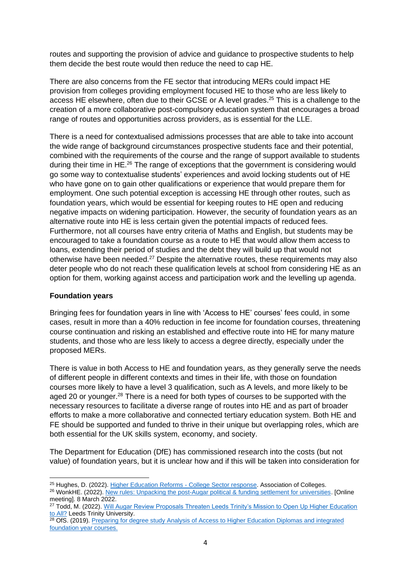routes and supporting the provision of advice and guidance to prospective students to help them decide the best route would then reduce the need to cap HE.

There are also concerns from the FE sector that introducing MERs could impact HE provision from colleges providing employment focused HE to those who are less likely to access HE elsewhere, often due to their GCSE or A level grades.<sup>25</sup> This is a challenge to the creation of a more collaborative post-compulsory education system that encourages a broad range of routes and opportunities across providers, as is essential for the LLE.

There is a need for contextualised admissions processes that are able to take into account the wide range of background circumstances prospective students face and their potential, combined with the requirements of the course and the range of support available to students during their time in HE.<sup>26</sup> The range of exceptions that the government is considering would go some way to contextualise students' experiences and avoid locking students out of HE who have gone on to gain other qualifications or experience that would prepare them for employment. One such potential exception is accessing HE through other routes, such as foundation years, which would be essential for keeping routes to HE open and reducing negative impacts on widening participation. However, the security of foundation years as an alternative route into HE is less certain given the potential impacts of reduced fees. Furthermore, not all courses have entry criteria of Maths and English, but students may be encouraged to take a foundation course as a route to HE that would allow them access to loans, extending their period of studies and the debt they will build up that would not otherwise have been needed.<sup>27</sup> Despite the alternative routes, these requirements may also deter people who do not reach these qualification levels at school from considering HE as an option for them, working against access and participation work and the levelling up agenda.

# **Foundation years**

Bringing fees for foundation years in line with 'Access to HE' courses' fees could, in some cases, result in more than a 40% reduction in fee income for foundation courses, threatening course continuation and risking an established and effective route into HE for many mature students, and those who are less likely to access a degree directly, especially under the proposed MERs.

There is value in both Access to HE and foundation years, as they generally serve the needs of different people in different contexts and times in their life, with those on foundation courses more likely to have a level 3 qualification, such as A levels, and more likely to be aged 20 or younger.<sup>28</sup> There is a need for both types of courses to be supported with the necessary resources to facilitate a diverse range of routes into HE and as part of broader efforts to make a more collaborative and connected tertiary education system. Both HE and FE should be supported and funded to thrive in their unique but overlapping roles, which are both essential for the UK skills system, economy, and society.

The Department for Education (DfE) has commissioned research into the costs (but not value) of foundation years, but it is unclear how and if this will be taken into consideration for

<sup>&</sup>lt;sup>25</sup> Hughes, D. (2022)[. Higher Education Reforms -](https://www.aoc.co.uk/news/higher-education-reforms-college-sector-response) College Sector response. Association of Colleges.

<sup>26</sup> WonkHE. (2022)[. New rules: Unpacking the post-Augar political & funding settlement for universities.](https://wonkhe.com/events/new-rules/) [Online meeting]. 8 March 2022. <sup>27</sup> Todd, M. (2022). [Will Augar Review Proposals Threaten Leeds Trinity's Mission to Open Up Higher Education](https://www.leedstrinity.ac.uk/blog/blog-posts/will-augar-review-proposals-threaten-leeds-trinitys-mission-to-open-up-higher-education-to-all.php) 

[to All?](https://www.leedstrinity.ac.uk/blog/blog-posts/will-augar-review-proposals-threaten-leeds-trinitys-mission-to-open-up-higher-education-to-all.php) Leeds Trinity University.

<sup>&</sup>lt;sup>28</sup> OfS. (2019). Preparing for degree study Analysis of Access to Higher Education Diplomas and integrated [foundation year courses.](https://www.officeforstudents.org.uk/media/f3450e04-2d2b-4b33-932f-41140d57c41e/ofs2019_20.pdf)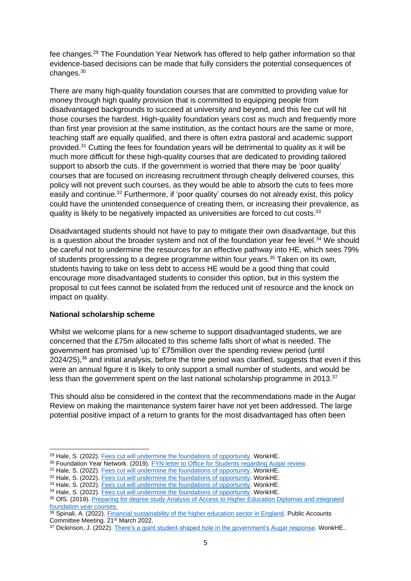fee changes.<sup>29</sup> The Foundation Year Network has offered to help gather information so that evidence-based decisions can be made that fully considers the potential consequences of changes.<sup>30</sup>

There are many high-quality foundation courses that are committed to providing value for money through high quality provision that is committed to equipping people from disadvantaged backgrounds to succeed at university and beyond, and this fee cut will hit those courses the hardest. High-quality foundation years cost as much and frequently more than first year provision at the same institution, as the contact hours are the same or more, teaching staff are equally qualified, and there is often extra pastoral and academic support provided.<sup>31</sup> Cutting the fees for foundation years will be detrimental to quality as it will be much more difficult for these high-quality courses that are dedicated to providing tailored support to absorb the cuts. If the government is worried that there may be 'poor quality' courses that are focused on increasing recruitment through cheaply delivered courses, this policy will not prevent such courses, as they would be able to absorb the cuts to fees more easily and continue.<sup>32</sup> Furthermore, if 'poor quality' courses do not already exist, this policy could have the unintended consequence of creating them, or increasing their prevalence, as quality is likely to be negatively impacted as universities are forced to cut costs.<sup>33</sup>

Disadvantaged students should not have to pay to mitigate their own disadvantage, but this is a question about the broader system and not of the foundation year fee level. $34$  We should be careful not to undermine the resources for an effective pathway into HE, which sees 79% of students progressing to a degree programme within four years.<sup>35</sup> Taken on its own, students having to take on less debt to access HE would be a good thing that could encourage more disadvantaged students to consider this option, but in this system the proposal to cut fees cannot be isolated from the reduced unit of resource and the knock on impact on quality.

# **National scholarship scheme**

Whilst we welcome plans for a new scheme to support disadvantaged students, we are concerned that the £75m allocated to this scheme falls short of what is needed. The government has promised 'up to' £75million over the spending review period (until 2024/25), <sup>36</sup> and initial analysis, before the time period was clarified, suggests that even if this were an annual figure it is likely to only support a small number of students, and would be less than the government spent on the last national scholarship programme in 2013.<sup>37</sup>

This should also be considered in the context that the recommendations made in the Augar Review on making the maintenance system fairer have not yet been addressed. The large potential positive impact of a return to grants for the most disadvantaged has often been

<sup>29</sup> Hale, S. (2022)[. Fees cut will undermine the foundations of opportunity.](https://wonkhe.com/blogs/fees-cut-will-undermine-the-foundations-of-opportunity/) WonkHE.

<sup>&</sup>lt;sup>30</sup> Foundation Year Network. (2019). [FYN letter to Office for Students regarding Augar review.](https://foundationyear.ac.uk/fyn-letter-to-office-for-students-regarding-augar-review/)

<sup>31</sup> Hale, S. (2022)[. Fees cut will undermine the foundations of opportunity.](https://wonkhe.com/blogs/fees-cut-will-undermine-the-foundations-of-opportunity/) WonkHE.

<sup>32</sup> Hale, S. (2022)[. Fees cut will undermine the foundations of opportunity.](https://wonkhe.com/blogs/fees-cut-will-undermine-the-foundations-of-opportunity/) WonkHE.

<sup>33</sup> Hale, S. (2022)[. Fees cut will undermine the foundations of opportunity.](https://wonkhe.com/blogs/fees-cut-will-undermine-the-foundations-of-opportunity/) WonkHE.

<sup>&</sup>lt;sup>34</sup> Hale, S. (2022)[. Fees cut will undermine the foundations of opportunity.](https://wonkhe.com/blogs/fees-cut-will-undermine-the-foundations-of-opportunity/) WonkHE.

<sup>35</sup> OfS. (2019). Preparing for degree study Analysis of Access to Higher Education Diplomas and integrated [foundation year courses.](https://www.officeforstudents.org.uk/media/f3450e04-2d2b-4b33-932f-41140d57c41e/ofs2019_20.pdf)

<sup>36</sup> Spinali, A. (2022). [Financial sustainability of the higher education sector in England.](https://parliamentlive.tv/Event/Index/275ee750-70ec-48ed-bc13-d4a3c55daf59) Public Accounts Committee Meeting. 21st March 2022.

<sup>37</sup> Dickinson, J. (2022)[. There's a giant student-shaped hole in the government's Augar response.](https://wonkhe.com/blogs/theres-a-giant-student-shaped-hole-in-the-governments-augar-response/) [WonkHE.](https://wonkhe.com/wonk-corner/the-living-standards-rollercoaster-is-much-worse-for-students/).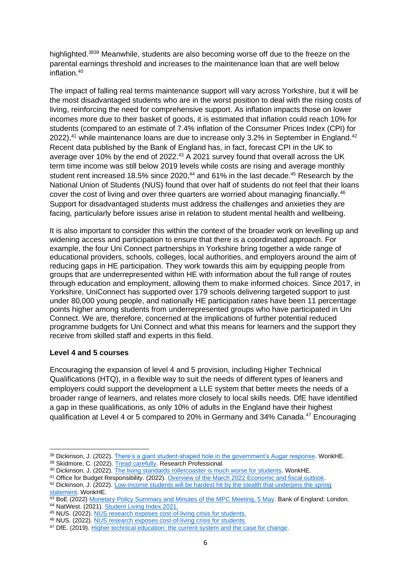highlighted.<sup>3839</sup> Meanwhile, students are also becoming worse off due to the freeze on the parental earnings threshold and increases to the maintenance loan that are well below inflation.<sup>40</sup>

The impact of falling real terms maintenance support will vary across Yorkshire, but it will be the most disadvantaged students who are in the worst position to deal with the rising costs of living, reinforcing the need for comprehensive support. As inflation impacts those on lower incomes more due to their basket of goods, it is estimated that inflation could reach 10% for students (compared to an estimate of 7.4% inflation of the Consumer Prices Index (CPI) for 2022),<sup>41</sup> while maintenance loans are due to increase only 3.2% in September in England.<sup>42</sup> Recent data published by the Bank of England has, in fact, forecast CPI in the UK to average over 10% by the end of 2022.<sup>43</sup> A 2021 survey found that overall across the UK term time income was still below 2019 levels while costs are rising and average monthly student rent increased 18.5% since 2020, $44$  and 61% in the last decade. $45$  Research by the National Union of Students (NUS) found that over half of students do not feel that their loans cover the cost of living and over three quarters are worried about managing financially.<sup>46</sup> Support for disadvantaged students must address the challenges and anxieties they are facing, particularly before issues arise in relation to student mental health and wellbeing.

It is also important to consider this within the context of the broader work on levelling up and widening access and participation to ensure that there is a coordinated approach. For example, the four Uni Connect partnerships in Yorkshire bring together a wide range of educational providers, schools, colleges, local authorities, and employers around the aim of reducing gaps in HE participation. They work towards this aim by equipping people from groups that are underrepresented within HE with information about the full range of routes through education and employment, allowing them to make informed choices. Since 2017, in Yorkshire, UniConnect has supported over 179 schools delivering targeted support to just under 80,000 young people, and nationally HE participation rates have been 11 percentage points higher among students from underrepresented groups who have participated in Uni Connect. We are, therefore, concerned at the implications of further potential reduced programme budgets for Uni Connect and what this means for learners and the support they receive from skilled staff and experts in this field.

# **Level 4 and 5 courses**

Encouraging the expansion of level 4 and 5 provision, including Higher Technical Qualifications (HTQ), in a flexible way to suit the needs of different types of leaners and employers could support the development a LLE system that better meets the needs of a broader range of learners, and relates more closely to local skills needs. DfE have identified a gap in these qualifications, as only 10% of adults in the England have their highest qualification at Level 4 or 5 compared to 20% in Germany and 34% Canada.<sup>47</sup> Encouraging

<sup>41</sup> Office for Budget Responsibility. (2022)[. Overview of the March 2022 Economic and fiscal outlook.](https://obr.uk/overview-of-the-march-2022-economic-and-fiscal-outlook/t)

<sup>38</sup> Dickinson, J. (2022)[. There's a giant student-shaped hole in the government's Augar response.](https://wonkhe.com/blogs/theres-a-giant-student-shaped-hole-in-the-governments-augar-response/) [WonkHE.](https://wonkhe.com/wonk-corner/the-living-standards-rollercoaster-is-much-worse-for-students/)

<sup>39</sup> Skidmore, C. (2022)[. Tread carefully.](https://www.researchprofessional.com/0/rr/news/uk/views-of-the-uk/2022/2/Tread-carefully.html) Research Professional.

<sup>40</sup> Dickinson, J. (2022)[. The living standards rollercoaster is much worse for students. WonkHE.](https://wonkhe.com/wonk-corner/the-living-standards-rollercoaster-is-much-worse-for-students/)

<sup>42</sup> Dickinson, J. (2022)[. Low-income students will be hardest hit by the stealth that underpins the spring](https://wonkhe.com/blogs/low-income-students-will-be-hardest-hit-by-the-stealth-that-underpins-the-spring-statement/?utm_medium=email&utm_campaign=Wonkhe%20Mondays%20-%2028%20March&utm_content=Wonkhe%20Mondays%20-%2028%20March+CID_297a9b1beefabc0471c9d4838092db90&utm_source=Email%20marketing%20software&utm_term=and%20what%20the%20sector%20can%20do%20to%20alleviate%20its%20impacts)  [statement.](https://wonkhe.com/blogs/low-income-students-will-be-hardest-hit-by-the-stealth-that-underpins-the-spring-statement/?utm_medium=email&utm_campaign=Wonkhe%20Mondays%20-%2028%20March&utm_content=Wonkhe%20Mondays%20-%2028%20March+CID_297a9b1beefabc0471c9d4838092db90&utm_source=Email%20marketing%20software&utm_term=and%20what%20the%20sector%20can%20do%20to%20alleviate%20its%20impacts) WonkHE.

<sup>43</sup> BoE (2022) [Monetary Policy Summary and Minutes of the MPC Meeting, 5 May.](https://www.bankofengland.co.uk/monetary-policy-summary-and-minutes/2022/may-2022) Bank of England: London. <sup>44</sup> NatWest. (2021)[. Student Living Index 2021.](https://www.natwest.com/life-moments/students-and-graduates/student-living-index.html)

<sup>45</sup> NUS. (2022). [NUS research exposes cost-of-living crisis for students.](https://www.nus.org.uk/articles/nus-research-exposes-cost-of-living-crisis-for-students)

<sup>46</sup> NUS. (2022). [NUS research exposes cost-of-living crisis for students.](https://www.nus.org.uk/articles/nus-research-exposes-cost-of-living-crisis-for-students)

<sup>&</sup>lt;sup>47</sup> DfE. (2019). [Higher technical education: the current system and the case for change.](https://assets.publishing.service.gov.uk/government/uploads/system/uploads/attachment_data/file/907144/Higher_technical_education_-_the_current_system_and_the_case_for_change.pdf)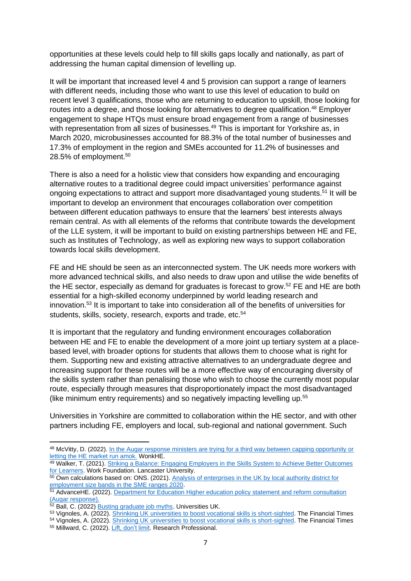opportunities at these levels could help to fill skills gaps locally and nationally, as part of addressing the human capital dimension of levelling up.

It will be important that increased level 4 and 5 provision can support a range of learners with different needs, including those who want to use this level of education to build on recent level 3 qualifications, those who are returning to education to upskill, those looking for routes into a degree, and those looking for alternatives to degree qualification.<sup>48</sup> Employer engagement to shape HTQs must ensure broad engagement from a range of businesses with representation from all sizes of businesses.<sup>49</sup> This is important for Yorkshire as, in March 2020, microbusinesses accounted for 88.3% of the total number of businesses and 17.3% of employment in the region and SMEs accounted for 11.2% of businesses and 28.5% of employment.<sup>50</sup>

There is also a need for a holistic view that considers how expanding and encouraging alternative routes to a traditional degree could impact universities' performance against ongoing expectations to attract and support more disadvantaged young students.<sup>51</sup> It will be important to develop an environment that encourages collaboration over competition between different education pathways to ensure that the learners' best interests always remain central. As with all elements of the reforms that contribute towards the development of the LLE system, it will be important to build on existing partnerships between HE and FE, such as Institutes of Technology, as well as exploring new ways to support collaboration towards local skills development.

FE and HE should be seen as an interconnected system. The UK needs more workers with more advanced technical skills, and also needs to draw upon and utilise the wide benefits of the HE sector, especially as demand for graduates is forecast to grow. <sup>52</sup> FE and HE are both essential for a high-skilled economy underpinned by world leading research and innovation. <sup>53</sup> It is important to take into consideration all of the benefits of universities for students, skills, society, research, exports and trade, etc.<sup>54</sup>

It is important that the regulatory and funding environment encourages collaboration between HE and FE to enable the development of a more joint up tertiary system at a placebased level, with broader options for students that allows them to choose what is right for them. Supporting new and existing attractive alternatives to an undergraduate degree and increasing support for these routes will be a more effective way of encouraging diversity of the skills system rather than penalising those who wish to choose the currently most popular route, especially through measures that disproportionately impact the most disadvantaged (like minimum entry requirements) and so negatively impacting levelling up.<sup>55</sup>

Universities in Yorkshire are committed to collaboration within the HE sector, and with other partners including FE, employers and local, sub-regional and national government. Such

<sup>48</sup> McVitty, D. (2022). In the Augar response ministers are trying for a third way between capping opportunity or [letting the HE market run amok.](https://wonkhe.com/blogs/ministers-are-trying-for-a-third-way-between-capping-opportunity-or-letting-the-he-market-run-amok/) WonkHE.

<sup>49</sup> Walker, T. (2021). Striking a Balance: Engaging Employers in the Skills System to Achieve Better Outcomes [for Learners.](https://www.lancaster.ac.uk/media/lancaster-university/content-assets/documents/lums/work-foundation/reports/Strikingabalance.pdf) Work Foundation. Lancaster University.

<sup>50</sup> Own calculations based on: ONS. (2021). Analysis of enterprises in the UK by local authority district for [employment size bands in the SME ranges 2020.](https://www.ons.gov.uk/businessindustryandtrade/business/activitysizeandlocation/adhocs/13056analysisofenterprisesintheukbylocalauthoritydistrictforemploymentsizebandsinthesmeranges2020)

<sup>&</sup>lt;sup>51</sup> AdvanceHE. (2022). Department for Education Higher education policy statement and reform consultation [\(Augar response\).](https://www.advance-he.ac.uk/knowledge-hub/department-education-higher-education-policy-statement-and-reform-consultation-augar)

<sup>52</sup> Ball, C. (2022) [Busting graduate job myths.](https://www.universitiesuk.ac.uk/sites/default/files/field/downloads/2022-04/busting-graduate-job-myths_0.pdf) Universities UK.

<sup>53</sup> Vignoles, A. (2022)[. Shrinking UK universities to boost vocational skills is short-sighted.](https://www.ft.com/content/8e64e356-0dcc-4e3e-a67b-f6bdfc35488f) The Financial Times

<sup>54</sup> Vignoles, A. (2022)[. Shrinking UK universities to boost vocational skills is short-sighted.](https://www.ft.com/content/8e64e356-0dcc-4e3e-a67b-f6bdfc35488f) The Financial Times

<sup>55</sup> Millward, C. (2022)[. Lift, don't limit.](https://www.researchprofessional.com/0/rr/news/uk/views-of-the-uk/2022/2/Lift-don-t-limit.html) Research Professional.